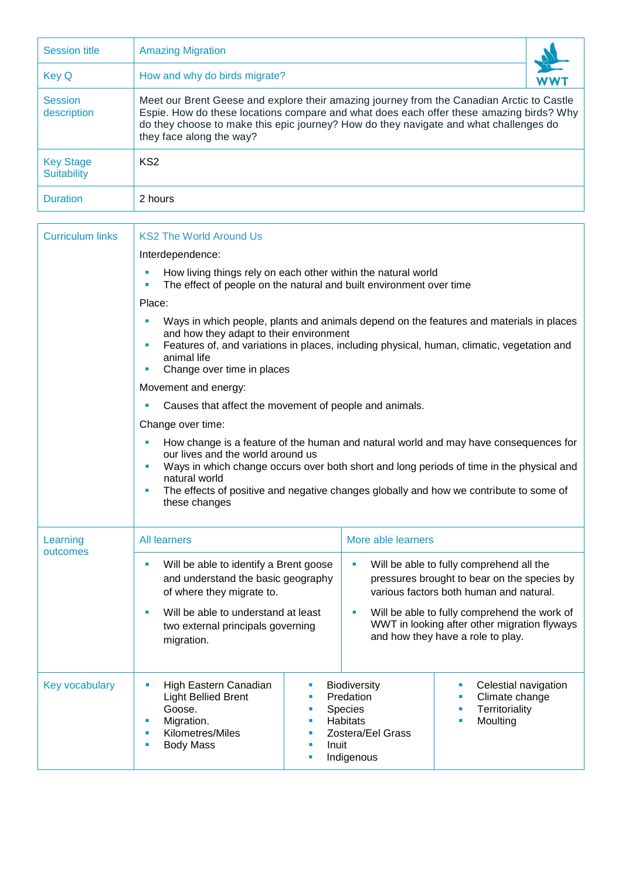| <b>Session title</b>                   | <b>Amazing Migration</b>                                                                                                                                                                                                                                                                                  |  |  |  |  |
|----------------------------------------|-----------------------------------------------------------------------------------------------------------------------------------------------------------------------------------------------------------------------------------------------------------------------------------------------------------|--|--|--|--|
| <b>Key Q</b>                           | How and why do birds migrate?                                                                                                                                                                                                                                                                             |  |  |  |  |
| <b>Session</b><br>description          | Meet our Brent Geese and explore their amazing journey from the Canadian Arctic to Castle<br>Espie. How do these locations compare and what does each offer these amazing birds? Why<br>do they choose to make this epic journey? How do they navigate and what challenges do<br>they face along the way? |  |  |  |  |
| <b>Key Stage</b><br><b>Suitability</b> | KS <sub>2</sub>                                                                                                                                                                                                                                                                                           |  |  |  |  |
| <b>Duration</b>                        | 2 hours                                                                                                                                                                                                                                                                                                   |  |  |  |  |

| <b>Curriculum links</b> | <b>KS2 The World Around Us</b>                                                                                                                                                                                                                                                                                                                                                |                                              |                                                                                                   |                                                                                                                                                                                                                                                                         |  |  |
|-------------------------|-------------------------------------------------------------------------------------------------------------------------------------------------------------------------------------------------------------------------------------------------------------------------------------------------------------------------------------------------------------------------------|----------------------------------------------|---------------------------------------------------------------------------------------------------|-------------------------------------------------------------------------------------------------------------------------------------------------------------------------------------------------------------------------------------------------------------------------|--|--|
|                         | Interdependence:                                                                                                                                                                                                                                                                                                                                                              |                                              |                                                                                                   |                                                                                                                                                                                                                                                                         |  |  |
|                         | How living things rely on each other within the natural world<br>u,<br>The effect of people on the natural and built environment over time<br>×                                                                                                                                                                                                                               |                                              |                                                                                                   |                                                                                                                                                                                                                                                                         |  |  |
|                         | Place:                                                                                                                                                                                                                                                                                                                                                                        |                                              |                                                                                                   |                                                                                                                                                                                                                                                                         |  |  |
|                         | Ways in which people, plants and animals depend on the features and materials in places<br>and how they adapt to their environment<br>Features of, and variations in places, including physical, human, climatic, vegetation and<br>ш<br>animal life<br>Change over time in places<br>$\blacksquare$                                                                          |                                              |                                                                                                   |                                                                                                                                                                                                                                                                         |  |  |
|                         | Movement and energy:                                                                                                                                                                                                                                                                                                                                                          |                                              |                                                                                                   |                                                                                                                                                                                                                                                                         |  |  |
|                         | Causes that affect the movement of people and animals.                                                                                                                                                                                                                                                                                                                        |                                              |                                                                                                   |                                                                                                                                                                                                                                                                         |  |  |
|                         | Change over time:                                                                                                                                                                                                                                                                                                                                                             |                                              |                                                                                                   |                                                                                                                                                                                                                                                                         |  |  |
|                         | How change is a feature of the human and natural world and may have consequences for<br>ш<br>our lives and the world around us<br>Ways in which change occurs over both short and long periods of time in the physical and<br>$\blacksquare$<br>natural world<br>The effects of positive and negative changes globally and how we contribute to some of<br>×<br>these changes |                                              |                                                                                                   |                                                                                                                                                                                                                                                                         |  |  |
| Learning<br>outcomes    | <b>All learners</b>                                                                                                                                                                                                                                                                                                                                                           |                                              | More able learners                                                                                |                                                                                                                                                                                                                                                                         |  |  |
|                         | Will be able to identify a Brent goose<br>u,<br>and understand the basic geography<br>of where they migrate to.<br>Will be able to understand at least<br>ш<br>two external principals governing<br>migration.                                                                                                                                                                |                                              | $\blacksquare$<br>$\blacksquare$                                                                  | Will be able to fully comprehend all the<br>pressures brought to bear on the species by<br>various factors both human and natural.<br>Will be able to fully comprehend the work of<br>WWT in looking after other migration flyways<br>and how they have a role to play. |  |  |
| Key vocabulary          | High Eastern Canadian<br>a,<br><b>Light Bellied Brent</b><br>Goose.<br>Migration.<br>×<br>Kilometres/Miles<br>٠<br><b>Body Mass</b><br>a,                                                                                                                                                                                                                                     | ш<br>ú,<br>×<br>ú,<br>ш<br>Inuit<br>I.<br>ù, | <b>Biodiversity</b><br>Predation<br>Species<br><b>Habitats</b><br>Zostera/Eel Grass<br>Indigenous | Celestial navigation<br>Climate change<br>Territoriality<br>Moulting                                                                                                                                                                                                    |  |  |